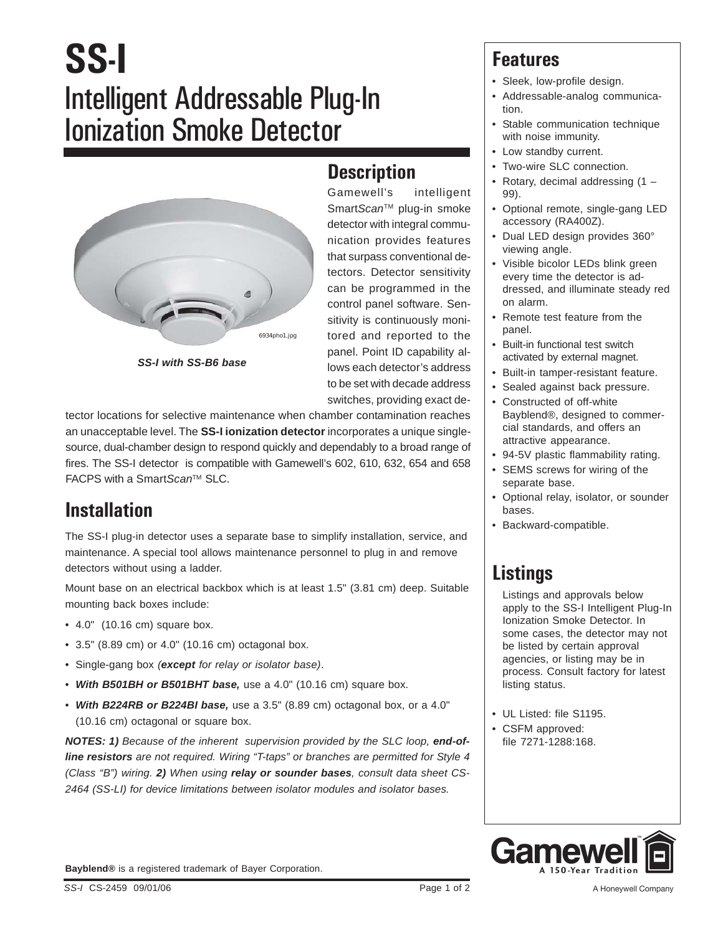# **SS-I** Intelligent Addressable Plug-In Ionization Smoke Detector





**Description** Gamewell's intelligent Smart*Scan™* plug-in smoke detector with integral communication provides features that surpass conventional detectors. Detector sensitivity can be programmed in the control panel software. Sensitivity is continuously monitored and reported to the panel. Point ID capability allows each detector's address to be set with decade address

switches, providing exact de-

tector locations for selective maintenance when chamber contamination reaches an unacceptable level. The **SS-I ionization detector** incorporates a unique singlesource, dual-chamber design to respond quickly and dependably to a broad range of fires. The SS-I detector is compatible with Gamewell's 602, 610, 632, 654 and 658 FACPS with a Smart*Scan*TM SLC.

### **Installation**

The SS-I plug-in detector uses a separate base to simplify installation, service, and maintenance. A special tool allows maintenance personnel to plug in and remove detectors without using a ladder.

Mount base on an electrical backbox which is at least 1.5" (3.81 cm) deep. Suitable mounting back boxes include:

- $\bullet$  4.0" (10.16 cm) square box.
- 3.5" (8.89 cm) or 4.0" (10.16 cm) octagonal box.
- Single-gang box *(except for relay or isolator base)*.
- *With B501BH or B501BHT base,* use a 4.0" (10.16 cm) square box.
- *With B224RB or B224BI base,* use a 3.5" (8.89 cm) octagonal box, or a 4.0" (10.16 cm) octagonal or square box.

**NOTES:** 1) Because of the inherent supervision provided by the SLC loop, end-of*line resistors are not required. Wiring "T-taps" or branches are permitted for Style 4 (Class "B") wiring. 2) When using relay or sounder bases, consult data sheet CS-2464 (SS-LI) for device limitations between isolator modules and isolator bases.*

### **Features**

- Sleek, low-profile design.
- Addressable-analog communication.
- Stable communication technique with noise immunity.
- Low standby current.
- Two-wire SLC connection.
- Rotary, decimal addressing (1 99).
- Optional remote, single-gang LED accessory (RA400Z).
- Dual LED design provides 360° viewing angle.
- Visible bicolor LEDs blink green every time the detector is addressed, and illuminate steady red on alarm.
- Remote test feature from the panel.
- Built-in functional test switch activated by external magnet.
- Built-in tamper-resistant feature.
- Sealed against back pressure.
- Constructed of off-white Bayblend®, designed to commercial standards, and offers an attractive appearance.
- 94-5V plastic flammability rating.
- SEMS screws for wiring of the separate base.
- Optional relay, isolator, or sounder bases.
- Backward-compatible.

# **Listings**

Listings and approvals below apply to the SS-I Intelligent Plug-In Ionization Smoke Detector. In some cases, the detector may not be listed by certain approval agencies, or listing may be in process. Consult factory for latest listing status.

- UL Listed: file S1195.
- CSFM approved: file 7271-1288:168.



**Bayblend®** is a registered trademark of Bayer Corporation.